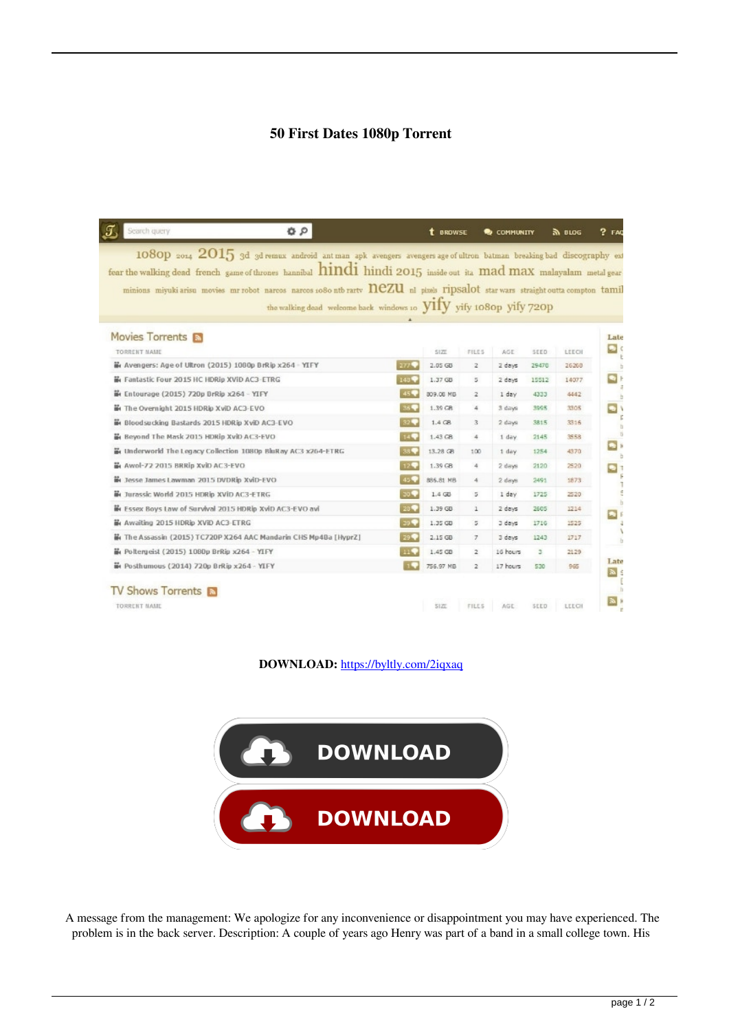## **50 First Dates 1080p Torrent**

|                                                            | fear the walking dead french game of thrones hannibal nindi 2015 inside out its mad max malayalam metal gear<br>minions miyuki arisu movies mr robot narcos naroos 1080 ntb rarty $\text{nezu}$ nl pixels FIDSalOt star wars straight outta compton tamil |         |             |                |          |       |       |      |
|------------------------------------------------------------|-----------------------------------------------------------------------------------------------------------------------------------------------------------------------------------------------------------------------------------------------------------|---------|-------------|----------------|----------|-------|-------|------|
|                                                            | the walking dead welcome back windows 10 <b>yily</b> yify 1080p yify 720p                                                                                                                                                                                 |         |             |                |          |       |       |      |
| <b>Movies Torrents</b>                                     |                                                                                                                                                                                                                                                           |         |             |                |          |       |       | Late |
| TORRENT NAME                                               |                                                                                                                                                                                                                                                           |         | SIZE.       | FILES          | AGE      | SEED  | LEECH |      |
| ii. Avengers: Age of Ultron (2015) 1080p BrRip x264 - YIFY |                                                                                                                                                                                                                                                           | $277 -$ | 2.05 GB     | $\mathbf{z}$   | 2 days   | 29470 | 26268 |      |
| ii. Fantastic Four 2015 HC HDRip XVID AC3 ETRG             |                                                                                                                                                                                                                                                           | 143     | 1.37 GB     | 5              | 2 days   | 15512 | 14077 | o    |
| ik Entourage (2015) 720p BrRip x264 - YIFY                 |                                                                                                                                                                                                                                                           | 455     | 809.08 MB   | $\overline{z}$ | 1 day    | 4333  | 4442  |      |
| In The Overnight 2015 HDRip XviD AC3-EVO                   |                                                                                                                                                                                                                                                           | 35      | 1.39 GB     | 4              | 3 days   | 3005  | 3305  |      |
| iii Blood sucking Bastards 2015 HDRip XviD AC3-EVO         |                                                                                                                                                                                                                                                           | 32.     | 1.4C8       | 3              | 2 days   | 3815  | 3316  |      |
| Beyond The Mask 2015 HDRip XviD AC3-EVO                    |                                                                                                                                                                                                                                                           | 14      | $1.43$ $GB$ | 4              | 1 day    | 2145  | 3558  |      |
|                                                            | the Underworld The Legacy Collection 1080p BluRay AC3 x264-ETRG                                                                                                                                                                                           | 385     | 13.28 GB    | 100            | 1 day    | 1254  | 4370  |      |
| Awol-72 2015 BRRip XviD AC3-EVO                            |                                                                                                                                                                                                                                                           | 125     | 1.39 GB     | 4              | 2 days   | 2120  | 2520  |      |
| iii Jesse James Lawman 2015 DVDRip XviD-EVO                |                                                                                                                                                                                                                                                           | 45%     | 886.81 MB   | 4              | 2 days   | 2491  | 1873  |      |
| iid Jurassic World 2015 HDRip XVID AC3-ETRG                |                                                                                                                                                                                                                                                           | 30%     | 1.4 GB      | 5              | 1 day    | 1725  | 2520  |      |
| iii Essex Boys Law of Survival 2015 HDRip XviD AC3-EVO avi |                                                                                                                                                                                                                                                           | 23      | 1.39 GB     | 1              | 2 days   | 2605  | 1214  |      |
| ik Awaiting 2015 HDRip XVID AC3-ETRG                       |                                                                                                                                                                                                                                                           | 39 Y    | 1.35 GB     | 5              | 3 days   | 1716  | 1525  |      |
|                                                            | M The Assassin (2015) TC720P X264 AAC Mandarin CHS Mp4Ba [Hypr2]                                                                                                                                                                                          | 29      | 2.15 GB     | $\overline{z}$ | 3 days   | 1243  | 1717  |      |
| iii Poltergeist (2015) 1080p BrRip x264 - YIFY             |                                                                                                                                                                                                                                                           | 115     | 1.45 GB     | $\overline{z}$ | 16 hours | з     | 2129  |      |
| We Posthumous (2014) 720p BrRip x264 - YIFY                |                                                                                                                                                                                                                                                           |         | 756.97 MB   | 2              | 17 hours | 530   | 965   | Late |

**DOWNLOAD:** <https://byltly.com/2iqxaq>



 A message from the management: We apologize for any inconvenience or disappointment you may have experienced. The problem is in the back server. Description: A couple of years ago Henry was part of a band in a small college town. His